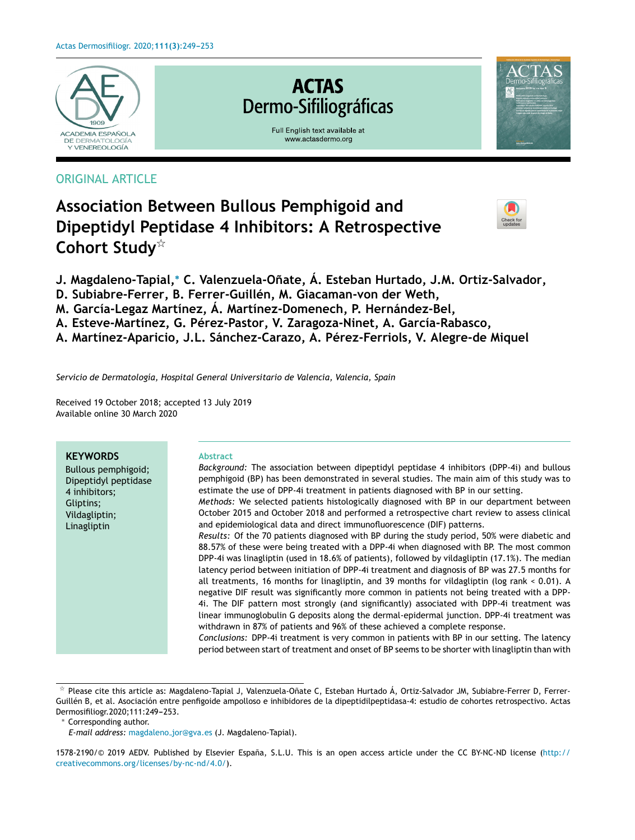

## ORIGINAL ARTICLE

# Check fo

- **Association Between Bullous Pemphigoid and Dipeptidyl Peptidase 4 Inhibitors: A Retrospective Cohort Study**-
- **J. Magdaleno-Tapial,**<sup>∗</sup> **C. Valenzuela-Onate, ˜ Á. Esteban Hurtado, J.M. Ortiz-Salvador,**
- **D. Subiabre-Ferrer, B. Ferrer-Guillén, M. Giacaman-von der Weth,**
- **M. García-Legaz Martínez, Á. Martínez-Domenech, P. Hernández-Bel,**
- **A. Esteve-Martínez, G. Pérez-Pastor, V. Zaragoza-Ninet, A. García-Rabasco,**

**A. Martínez-Aparicio, J.L. Sánchez-Carazo, A. Pérez-Ferriols, V. Alegre-de Miquel**

*Servicio de Dermatología, Hospital General Universitario de Valencia, Valencia, Spain*

Received 19 October 2018; accepted 13 July 2019 Available online 30 March 2020

#### **KEYWORDS**

Bullous pemphigoid; Dipeptidyl peptidase 4 inhibitors; Gliptins; Vildagliptin; Linagliptin

#### **Abstract**

*Background:* The association between dipeptidyl peptidase 4 inhibitors (DPP-4i) and bullous pemphigoid (BP) has been demonstrated in several studies. The main aim of this study was to estimate the use of DPP-4i treatment in patients diagnosed with BP in our setting. *Methods:* We selected patients histologically diagnosed with BP in our department between October 2015 and October 2018 and performed a retrospective chart review to assess clinical and epidemiological data and direct immunofluorescence (DIF) patterns. *Results:* Of the 70 patients diagnosed with BP during the study period, 50% were diabetic and 88.57% of these were being treated with a DPP-4i when diagnosed with BP. The most common DPP-4i was linagliptin (used in 18.6% of patients), followed by vildagliptin (17.1%). The median latency period between initiation of DPP-4i treatment and diagnosis of BP was 27.5 months for

all treatments, 16 months for linagliptin, and 39 months for vildagliptin (log rank < 0.01). A negative DIF result was significantly more common in patients not being treated with a DPP-4i. The DIF pattern most strongly (and significantly) associated with DPP-4i treatment was linear immunoglobulin G deposits along the dermal-epidermal junction. DPP-4i treatment was withdrawn in 87% of patients and 96% of these achieved a complete response.

*Conclusions:* DPP-4i treatment is very common in patients with BP in our setting. The latency period between start of treatment and onset of BP seems to be shorter with linagliptin than with

 $^\star$  Please cite this article as: Magdaleno-Tapial J, Valenzuela-Oñate C, Esteban Hurtado Á, Ortiz-Salvador JM, Subiabre-Ferrer D, Ferrer-Guillén B, et al. Asociación entre penfigoide ampolloso e inhibidores de la dipeptidilpeptidasa-4: estudio de cohortes retrospectivo. Actas Dermosifiliogr.2020;111:249-253.

<sup>∗</sup> Corresponding author.

*E-mail address:* [magdaleno](mailto:magdaleno_jor@gva.es) jor@gva.es (J. Magdaleno-Tapial).

<sup>1578-2190/© 2019</sup> AEDV. Published by Elsevier España, S.L.U. This is an open access article under the CC BY-NC-ND license [\(http://](http://creativecommons.org/licenses/by-nc-nd/4.0/) [creativecommons.org/licenses/by-nc-nd/4.0/\)](http://creativecommons.org/licenses/by-nc-nd/4.0/).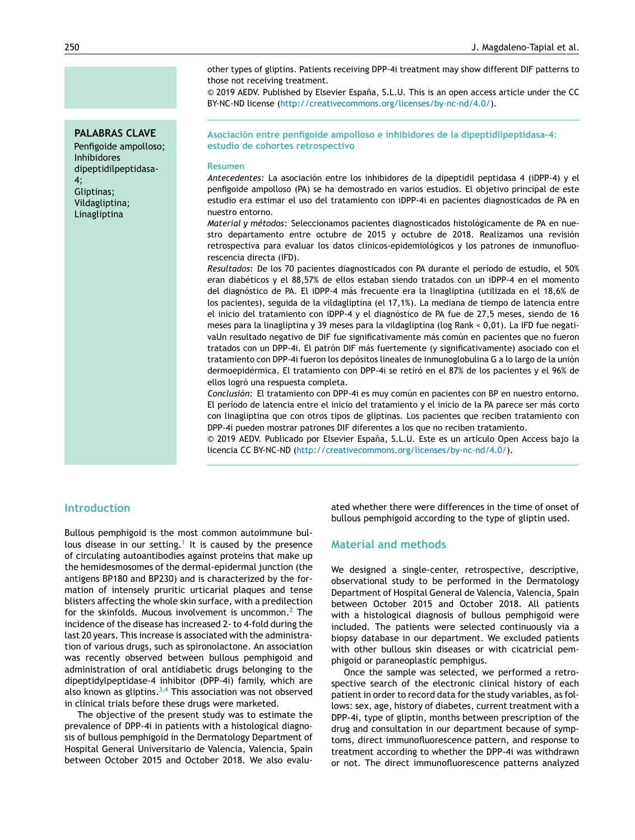other types of gliptins. Patients receiving DPP-4i treatment may show different DIF patterns to those not receiving treatment.

© 2019 AEDV. Published by Elsevier España, S.L.U. This is an open access article under the CC BY-NC-ND license (<http://creativecommons.org/licenses/by-nc-nd/4.0/>).

**Asociación entre penfigoide ampolloso e inhibidores de la dipeptidilpeptidasa-4: estudio de cohortes retrospectivo**

#### **Resumen**

*Antecedentes:* La asociación entre los inhibidores de la dipeptidil peptidasa 4 (iDPP-4) y el penfigoide ampolloso (PA) se ha demostrado en varios estudios. El objetivo principal de este estudio era estimar el uso del tratamiento con iDPP-4i en pacientes diagnosticados de PA en nuestro entorno.

*Material y métodos:* Seleccionamos pacientes diagnosticados histológicamente de PA en nuestro departamento entre octubre de 2015 y octubre de 2018. Realizamos una revisión retrospectiva para evaluar los datos clínicos-epidemiológicos y los patrones de inmunofluorescencia directa (IFD).

*Resultados:* De los 70 pacientes diagnosticados con PA durante el período de estudio, el 50% eran diabéticos y el 88,57% de ellos estaban siendo tratados con un iDPP-4 en el momento del diagnóstico de PA. El iDPP-4 más frecuente era la linagliptina (utilizada en el 18,6% de los pacientes), seguida de la vildagliptina (el 17,1%). La mediana de tiempo de latencia entre el inicio del tratamiento con iDPP-4 y el diagnóstico de PA fue de 27,5 meses, siendo de 16 meses para la linagliptina y 39 meses para la vildagliptina (log Rank < 0,01). La IFD fue negativaUn resultado negativo de DIF fue significativamente más común en pacientes que no fueron tratados con un DPP-4i. El patrón DIF más fuertemente (y significativamente) asociado con el tratamiento con DPP-4i fueron los depósitos lineales de inmunoglobulina G a lo largo de la unión dermoepidérmica. El tratamiento con DPP-4i se retiró en el 87% de los pacientes y el 96% de ellos logró una respuesta completa.

*Conclusión:* El tratamiento con DPP-4i es muy común en pacientes con BP en nuestro entorno. El período de latencia entre el inicio del tratamiento y el inicio de la PA parece ser más corto con linagliptina que con otros tipos de gliptinas. Los pacientes que reciben tratamiento con DPP-4i pueden mostrar patrones DIF diferentes a los que no reciben tratamiento.

 $© 2019$  AEDV. Publicado por Elsevier España, S.L.U. Este es un artículo Open Access bajo la licencia CC BY-NC-ND (<http://creativecommons.org/licenses/by-nc-nd/4.0/>).

#### **Introduction**

Bullous pemphigoid is the most common autoimmune bul-lous disease in our setting.<sup>[1](#page-4-0)</sup> It is caused by the presence of circulating autoantibodies against proteins that make up the hemidesmosomes of the dermal-epidermal junction (the antigens BP180 and BP230) and is characterized by the formation of intensely pruritic urticarial plaques and tense blisters affecting the whole skin surface, with a predilection for the skinfolds. Mucous involvement is uncommon.<sup>[2](#page-4-0)</sup> The incidence of the disease has increased 2- to 4-fold during the last 20 years. This increase is associated with the administration of various drugs, such as spironolactone. An association was recently observed between bullous pemphigoid and administration of oral antidiabetic drugs belonging to the dipeptidylpeptidase-4 inhibitor (DPP-4i) family, which are also known as gliptins. $3,4$  This association was not observed in clinical trials before these drugs were marketed.

The objective of the present study was to estimate the prevalence of DPP-4i in patients with a histological diagnosis of bullous pemphigoid in the Dermatology Department of Hospital General Universitario de Valencia, Valencia, Spain between October 2015 and October 2018. We also evaluated whether there were differences in the time of onset of bullous pemphigoid according to the type of gliptin used.

#### **Material and methods**

We designed a single-center, retrospective, descriptive, observational study to be performed in the Dermatology Department of Hospital General de Valencia, Valencia, Spain between October 2015 and October 2018. All patients with a histological diagnosis of bullous pemphigoid were included. The patients were selected continuously via a biopsy database in our department. We excluded patients with other bullous skin diseases or with cicatricial pemphigoid or paraneoplastic pemphigus.

Once the sample was selected, we performed a retrospective search of the electronic clinical history of each patient in order to record data for the study variables, as follows: sex, age, history of diabetes, current treatment with a DPP-4i, type of gliptin, months between prescription of the drug and consultation in our department because of symptoms, direct immunofluorescence pattern, and response to treatment according to whether the DPP-4i was withdrawn or not. The direct immunofluorescence patterns analyzed

**PALABRAS CLAVE**

Penfigoide ampolloso; Inhibidores dipeptidilpeptidasa-4; Gliptinas; Vildagliptina; Linagliptina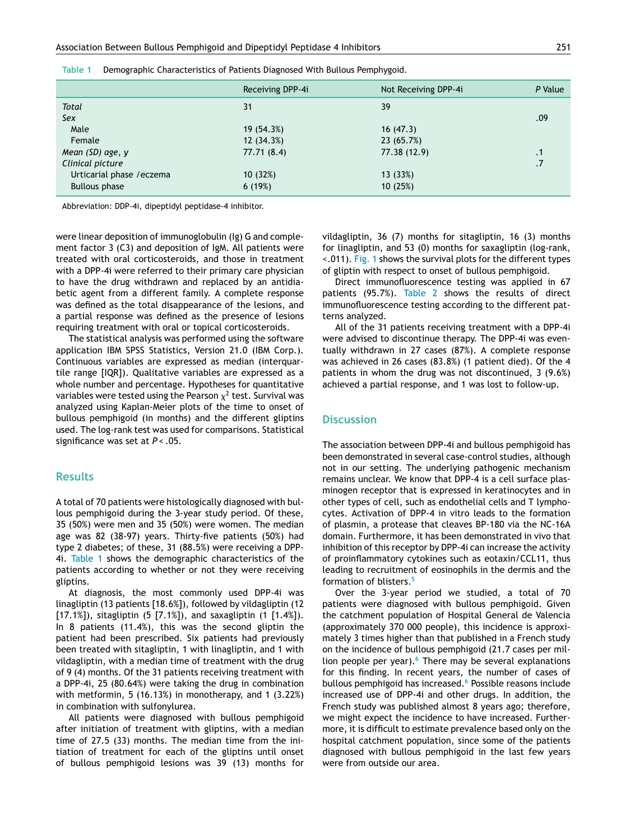| Receiving DPP-4i | Not Receiving DPP-4i | P Value   |
|------------------|----------------------|-----------|
| 31               | 39                   |           |
|                  |                      | .09       |
| 19 (54.3%)       | 16(47.3)             |           |
| 12(34.3%)        | 23 (65.7%)           |           |
| 77.71 (8.4)      | 77.38 (12.9)         | $\cdot$ 1 |
|                  |                      | .7        |
| 10(32%)          | 13 (33%)             |           |
| 6(19%)           | 10(25%)              |           |
|                  |                      |           |

| Table 1 |  | Demographic Characteristics of Patients Diagnosed With Bullous Pemphygoid. |  |
|---------|--|----------------------------------------------------------------------------|--|
|         |  |                                                                            |  |

Abbreviation: DDP-4i, dipeptidyl peptidase-4 inhibitor.

were linear deposition of immunoglobulin (Ig) G and complement factor 3 (C3) and deposition of IgM. All patients were treated with oral corticosteroids, and those in treatment with a DPP-4i were referred to their primary care physician to have the drug withdrawn and replaced by an antidiabetic agent from a different family. A complete response was defined as the total disappearance of the lesions, and a partial response was defined as the presence of lesions requiring treatment with oral or topical corticosteroids.

The statistical analysis was performed using the software application IBM SPSS Statistics, Version 21.0 (IBM Corp.). Continuous variables are expressed as median (interquartile range [IQR]). Qualitative variables are expressed as a whole number and percentage. Hypotheses for quantitative variables were tested using the Pearson  $\chi^2$  test. Survival was analyzed using Kaplan-Meier plots of the time to onset of bullous pemphigoid (in months) and the different gliptins used. The log-rank test was used for comparisons. Statistical significance was set at *P* < .05.

#### **Results**

A total of 70 patients were histologically diagnosed with bullous pemphigoid during the 3-year study period. Of these, 35 (50%) were men and 35 (50%) were women. The median age was 82 (38-97) years. Thirty-five patients (50%) had type 2 diabetes; of these, 31 (88.5%) were receiving a DPP-4i. Table 1 shows the demographic characteristics of the patients according to whether or not they were receiving gliptins.

At diagnosis, the most commonly used DPP-4i was linagliptin (13 patients [18.6%]), followed by vildagliptin (12 [17.1%]), sitagliptin (5 [7.1%]), and saxagliptin (1 [1.4%]). In 8 patients (11.4%), this was the second gliptin the patient had been prescribed. Six patients had previously been treated with sitagliptin, 1 with linagliptin, and 1 with vildagliptin, with a median time of treatment with the drug of 9 (4) months. Of the 31 patients receiving treatment with a DPP-4i, 25 (80.64%) were taking the drug in combination with metformin, 5 (16.13%) in monotherapy, and 1 (3.22%) in combination with sulfonylurea.

All patients were diagnosed with bullous pemphigoid after initiation of treatment with gliptins, with a median time of 27.5 (33) months. The median time from the initiation of treatment for each of the gliptins until onset of bullous pemphigoid lesions was 39 (13) months for vildagliptin, 36 (7) months for sitagliptin, 16 (3) months for linagliptin, and 53 (0) months for saxagliptin (log-rank, <.011). [Fig.](#page-3-0) 1 shows the survival plots for the different types of gliptin with respect to onset of bullous pemphigoid.

Direct immunofluorescence testing was applied in 67 patients (95.7%). [Table](#page-3-0) 2 shows the results of direct immunofluorescence testing according to the different patterns analyzed.

All of the 31 patients receiving treatment with a DPP-4i were advised to discontinue therapy. The DPP-4i was eventually withdrawn in 27 cases (87%). A complete response was achieved in 26 cases (83.8%) (1 patient died). Of the 4 patients in whom the drug was not discontinued, 3 (9.6%) achieved a partial response, and 1 was lost to follow-up.

#### **Discussion**

The association between DPP-4i and bullous pemphigoid has been demonstrated in several case-control studies, although not in our setting. The underlying pathogenic mechanism remains unclear. We know that DPP-4 is a cell surface plasminogen receptor that is expressed in keratinocytes and in other types of cell, such as endothelial cells and T lymphocytes. Activation of DPP-4 in vitro leads to the formation of plasmin, a protease that cleaves BP-180 via the NC-16A domain. Furthermore, it has been demonstrated in vivo that inhibition of this receptor by DPP-4i can increase the activity of proinflammatory cytokines such as eotaxin/CCL11, thus leading to recruitment of eosinophils in the dermis and the formation of blisters.[5](#page-4-0)

Over the 3-year period we studied, a total of 70 patients were diagnosed with bullous pemphigoid. Given the catchment population of Hospital General de Valencia (approximately 370 000 people), this incidence is approximately 3 times higher than that published in a French study on the incidence of bullous pemphigoid (21.7 cases per million people per year). $6$  There may be several explanations for this finding. In recent years, the number of cases of bullous pemphigoid has increased.<sup>[6](#page-4-0)</sup> Possible reasons include increased use of DPP-4i and other drugs. In addition, the French study was published almost 8 years ago; therefore, we might expect the incidence to have increased. Furthermore, it is difficult to estimate prevalence based only on the hospital catchment population, since some of the patients diagnosed with bullous pemphigoid in the last few years were from outside our area.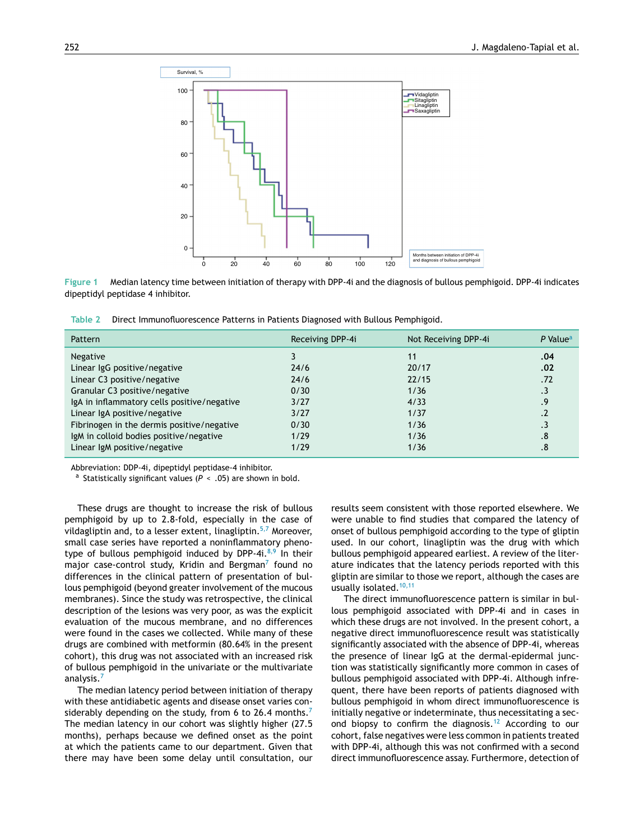<span id="page-3-0"></span>

**Figure 1** Median latency time between initiation of therapy with DPP-4i and the diagnosis of bullous pemphigoid. DPP-4i indicates dipeptidyl peptidase 4 inhibitor.

**Table 2** Direct Immunofluorescence Patterns in Patients Diagnosed with Bullous Pemphigoid.

| Pattern                                     | Receiving DPP-4i | Not Receiving DPP-4i | $P$ Value <sup>a</sup> |
|---------------------------------------------|------------------|----------------------|------------------------|
| <b>Negative</b>                             |                  | 11                   | .04                    |
| Linear IgG positive/negative                | 24/6             | 20/17                | .02                    |
| Linear C3 positive/negative                 | 24/6             | 22/15                | .72                    |
| Granular C3 positive/negative               | 0/30             | 1/36                 | $\cdot$ 3              |
| IgA in inflammatory cells positive/negative | 3/27             | 4/33                 | .9                     |
| Linear IgA positive/negative                | 3/27             | 1/37                 | $\cdot$                |
| Fibrinogen in the dermis positive/negative  | 0/30             | 1/36                 | .3                     |
| IgM in colloid bodies positive/negative     | 1/29             | 1/36                 | .8                     |
| Linear IgM positive/negative                | 1/29             | 1/36                 | .8                     |

Abbreviation: DDP-4i, dipeptidyl peptidase-4 inhibitor.

<sup>a</sup> Statistically significant values (P < .05) are shown in bold.

These drugs are thought to increase the risk of bullous pemphigoid by up to 2.8-fold, especially in the case of vildagliptin and, to a lesser extent, linagliptin. $5,7$  Moreover, small case series have reported a noninflammatory phenotype of bullous pemphigoid induced by DPP-4i. $8,9$  In their major case-control study, Kridin and Bergman<sup>[7](#page-4-0)</sup> found no differences in the clinical pattern of presentation of bullous pemphigoid (beyond greater involvement of the mucous membranes). Since the study was retrospective, the clinical description of the lesions was very poor, as was the explicit evaluation of the mucous membrane, and no differences were found in the cases we collected. While many of these drugs are combined with metformin (80.64% in the present cohort), this drug was not associated with an increased risk of bullous pemphigoid in the univariate or the multivariate analysis.<sup>[7](#page-4-0)</sup>

The median latency period between initiation of therapy with these antidiabetic agents and disease onset varies con-siderably depending on the study, from 6 to 26.4 months.<sup>[7](#page-4-0)</sup> The median latency in our cohort was slightly higher (27.5 months), perhaps because we defined onset as the point at which the patients came to our department. Given that there may have been some delay until consultation, our

results seem consistent with those reported elsewhere. We were unable to find studies that compared the latency of onset of bullous pemphigoid according to the type of gliptin used. In our cohort, linagliptin was the drug with which bullous pemphigoid appeared earliest. A review of the literature indicates that the latency periods reported with this gliptin are similar to those we report, although the cases are usually isolated.<sup>[10,11](#page-4-0)</sup>

The direct immunofluorescence pattern is similar in bullous pemphigoid associated with DPP-4i and in cases in which these drugs are not involved. In the present cohort, a negative direct immunofluorescence result was statistically significantly associated with the absence of DPP-4i, whereas the presence of linear IgG at the dermal-epidermal junction was statistically significantly more common in cases of bullous pemphigoid associated with DPP-4i. Although infrequent, there have been reports of patients diagnosed with bullous pemphigoid in whom direct immunofluorescence is initially negative or indeterminate, thus necessitating a sec-ond biopsy to confirm the diagnosis.<sup>[12](#page-4-0)</sup> According to our cohort, false negatives were less common in patients treated with DPP-4i, although this was not confirmed with a second direct immunofluorescence assay. Furthermore, detection of